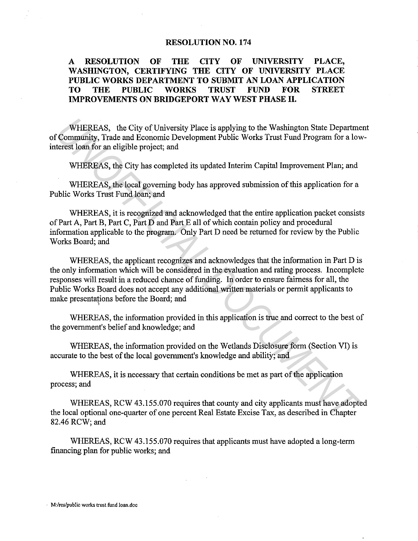## **RESOLUTION NO. 174**

## **A RESOLUTION OF THE CITY OF UNIVERSITY PLACE, WASHINGTON, CERTIFYING THE CITY OF UNIVERSITY PLACE PUBLIC WORKS DEPARTMENT TO SUBMIT AN LOAN APPLICATION TO THE PUBLIC WORKS TRUST FUND FOR STREET IMPROVEMENTS ON BRIDGEPORT WAY WEST PHASE II.**

WHEREAS, the City of University Place is applying to the Washington State Department of Community, Trade and Economic Development Public Works Trust Fund Program for a lowinterest loan for an eligible project; and

WHEREAS, the City has completed its updated Interim Capital Improvement Plan; and

WHEREAS, the local governing body has approved submission of this application for a Public Works Trust Fund loan; and

WHEREAS, it is recognized and acknowledged that the entire application packet consists of Part A, Part B, Part C, Part D and Part E all of which contain policy and procedural information applicable to the program. Only Part D need be returned for review by the Public Works Board; and

WHEREAS, the applicant recognizes and acknowledges that the information in Part D is the only information which will be considered in the evaluation and rating process. Incomplete responses will result in a reduced chance of funding. In order to ensure fairness for all, the Public Works Board does not accept any additional written materials or permit applicants to make presentations before the Board; and WHEREAS, the City of University Place is applying to the Washington State Departmet Community, Trade and Economic Development Public Works Trust Fund Program for a low<br>terest learn for an eligible project; and<br>WHEREAS, the

WHEREAS, the information provided in this application is true and correct to the best of the government's belief and knowledge; and

WHEREAS, the information provided on the Wetlands Disclosure form (Section VI) is accurate to the best of the local government's knowledge and ability; and

WHEREAS, it is necessary that certain conditions be met as part of the application process; and

WHEREAS, RCW 43.155.070 requires that county and city applicants must have adopted the local optional one-quarter of one percent Real Estate Excise Tax, as described in Chapter 82.46 RCW; and

WHEREAS, RCW 43.155.070 requires that applicants must have adopted a long-term financing plan for public works; and

**M:/res/public works trust fund Joan.doc**